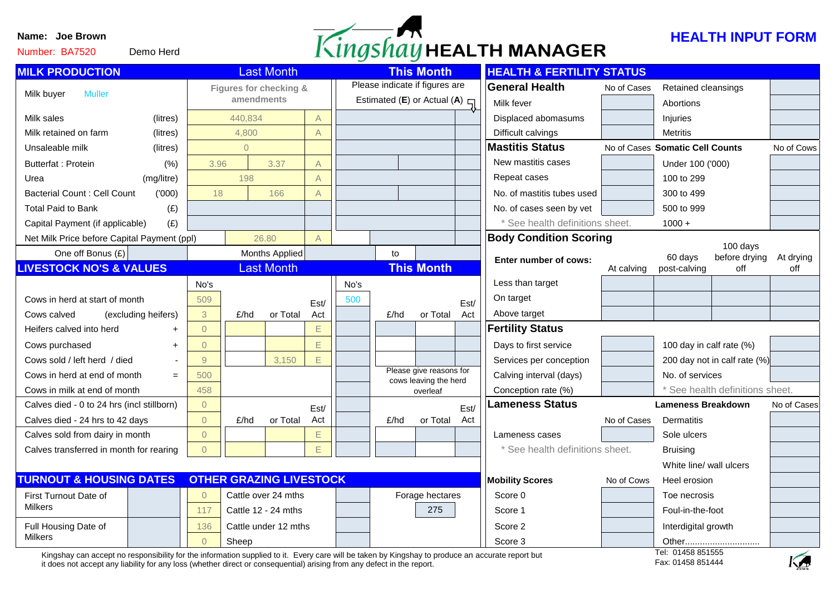Number: BA7520





| <b>MILK PRODUCTION</b>                                               | <b>Last Month</b>      |                       |                     | <b>This Month</b> |                                    |                 |                                                  | <b>HEALTH &amp; FERTILITY STATUS</b> |                               |                                 |                           |                              |             |
|----------------------------------------------------------------------|------------------------|-----------------------|---------------------|-------------------|------------------------------------|-----------------|--------------------------------------------------|--------------------------------------|-------------------------------|---------------------------------|---------------------------|------------------------------|-------------|
| <b>Muller</b><br>Milk buyer                                          | Figures for checking & |                       |                     |                   | Please indicate if figures are     |                 |                                                  |                                      | <b>General Health</b>         | No of Cases                     | Retained cleansings       |                              |             |
|                                                                      |                        | amendments<br>440,834 |                     |                   | Estimated (E) or Actual (A) $\Box$ |                 |                                                  |                                      | Milk fever                    | Abortions                       |                           |                              |             |
| Milk sales<br>(litres)                                               |                        | 4,800                 |                     | A                 |                                    |                 |                                                  |                                      | Displaced abomasums           |                                 | Injuries                  |                              |             |
| Milk retained on farm<br>(litres)                                    |                        |                       |                     | $\overline{A}$    |                                    |                 |                                                  | Difficult calvings                   |                               | <b>Metritis</b>                 |                           |                              |             |
| Unsaleable milk<br>(litres)                                          | $\overline{0}$         |                       |                     |                   |                                    |                 |                                                  |                                      | <b>Mastitis Status</b>        | No of Cases Somatic Cell Counts |                           |                              | No of Cows  |
| <b>Butterfat: Protein</b><br>(% )                                    | 3.96                   |                       | 3.37                | A                 |                                    |                 |                                                  |                                      | New mastitis cases            |                                 | Under 100 ('000)          |                              |             |
| (mg/litre)<br>Urea                                                   |                        | 198                   |                     | $\overline{A}$    |                                    |                 |                                                  |                                      | Repeat cases                  |                                 | 100 to 299                |                              |             |
| <b>Bacterial Count: Cell Count</b><br>(000)                          | 18                     |                       | 166                 | $\mathsf{A}$      |                                    |                 |                                                  |                                      | No. of mastitis tubes used    |                                 | 300 to 499                |                              |             |
| <b>Total Paid to Bank</b><br>(E)                                     |                        |                       |                     |                   |                                    |                 |                                                  |                                      | No. of cases seen by vet      |                                 | 500 to 999                |                              |             |
| (E)<br>Capital Payment (if applicable)                               |                        |                       |                     |                   |                                    |                 |                                                  |                                      | See health definitions sheet. |                                 | $1000 +$                  |                              |             |
| Net Milk Price before Capital Payment (ppl)                          |                        |                       | 26.80               | $\overline{A}$    |                                    |                 |                                                  |                                      | <b>Body Condition Scoring</b> |                                 |                           |                              |             |
| One off Bonus $(E)$                                                  |                        |                       | Months Applied      |                   |                                    | to              |                                                  |                                      | Enter number of cows:         |                                 | 60 days                   | 100 days<br>before drying    | At drying   |
| <b>LIVESTOCK NO'S &amp; VALUES</b>                                   |                        |                       | <b>Last Month</b>   |                   |                                    |                 | <b>This Month</b>                                |                                      |                               | At calving                      | post-calving              | off                          | off         |
|                                                                      | No's                   |                       |                     |                   | No's                               |                 |                                                  |                                      | Less than target              |                                 |                           |                              |             |
| Cows in herd at start of month                                       | 509                    |                       |                     | Est/              | 500                                |                 |                                                  | Est/                                 | On target                     |                                 |                           |                              |             |
| Cows calved<br>(excluding heifers)                                   | 3                      | £/hd                  | or Total            | Act               |                                    | £/hd            | or Total                                         | Act                                  | Above target                  |                                 |                           |                              |             |
| Heifers calved into herd<br>$\ddot{}$                                | $\overline{0}$         |                       |                     | E                 |                                    |                 |                                                  |                                      | <b>Fertility Status</b>       |                                 |                           |                              |             |
| Cows purchased<br>$\ddot{}$                                          | $\overline{0}$         |                       |                     | E                 |                                    |                 |                                                  |                                      | Days to first service         |                                 | 100 day in calf rate (%)  |                              |             |
| Cows sold / left herd / died                                         | $\overline{9}$         |                       | 3,150               | E.                |                                    |                 |                                                  |                                      | Services per conception       |                                 |                           | 200 day not in calf rate (%) |             |
| Cows in herd at end of month<br>$=$                                  | 500                    |                       |                     |                   |                                    |                 | Please give reasons for<br>cows leaving the herd |                                      | Calving interval (days)       |                                 | No. of services           |                              |             |
| Cows in milk at end of month                                         | 458                    |                       |                     |                   |                                    |                 | overleaf                                         |                                      | Conception rate (%)           |                                 |                           | See health definitions sheet |             |
| Calves died - 0 to 24 hrs (incl stillborn)                           | $\overline{0}$         |                       |                     | Est/              |                                    |                 |                                                  | Est/                                 | <b>Lameness Status</b>        |                                 | <b>Lameness Breakdown</b> |                              | No of Cases |
| Calves died - 24 hrs to 42 days                                      | $\overline{0}$         | £/hd                  | or Total            | Act               |                                    | E/hd            | or Total                                         | Act                                  |                               | No of Cases                     | <b>Dermatitis</b>         |                              |             |
| Calves sold from dairy in month                                      | $\overline{0}$         |                       |                     | E                 |                                    |                 |                                                  |                                      | Lameness cases                |                                 | Sole ulcers               |                              |             |
| Calves transferred in month for rearing                              | $\Omega$               |                       |                     | E.                |                                    |                 |                                                  |                                      | See health definitions sheet. |                                 | <b>Bruising</b>           |                              |             |
|                                                                      |                        |                       |                     |                   |                                    |                 |                                                  |                                      |                               |                                 | White line/ wall ulcers   |                              |             |
| <b>TURNOUT &amp; HOUSING DATES</b><br><b>OTHER GRAZING LIVESTOCK</b> |                        |                       |                     |                   |                                    |                 |                                                  |                                      | <b>Mobility Scores</b>        | Heel erosion                    |                           |                              |             |
| First Turnout Date of                                                | $\overline{0}$         | Cattle over 24 mths   |                     |                   |                                    | Forage hectares |                                                  | Score 0                              |                               | Toe necrosis                    |                           |                              |             |
| <b>Milkers</b>                                                       | 117                    |                       | Cattle 12 - 24 mths |                   |                                    |                 | 275                                              |                                      | Score 1                       |                                 | Foul-in-the-foot          |                              |             |
| Full Housing Date of                                                 | 136                    | Cattle under 12 mths  |                     |                   |                                    |                 |                                                  |                                      | Score 2                       |                                 | Interdigital growth       |                              |             |
| <b>Milkers</b>                                                       | $\overline{0}$         | Sheep                 |                     |                   |                                    |                 |                                                  |                                      | Score 3                       |                                 | 0.4450074555              |                              |             |

Kingshay can accept no responsibility for the information supplied to it. Every care will be taken by Kingshay to produce an accurate report but it does not accept any liability for any loss (whether direct or consequential) arising from any defect in the report.

Tel: 01458 851555 Fax: 01458 851444